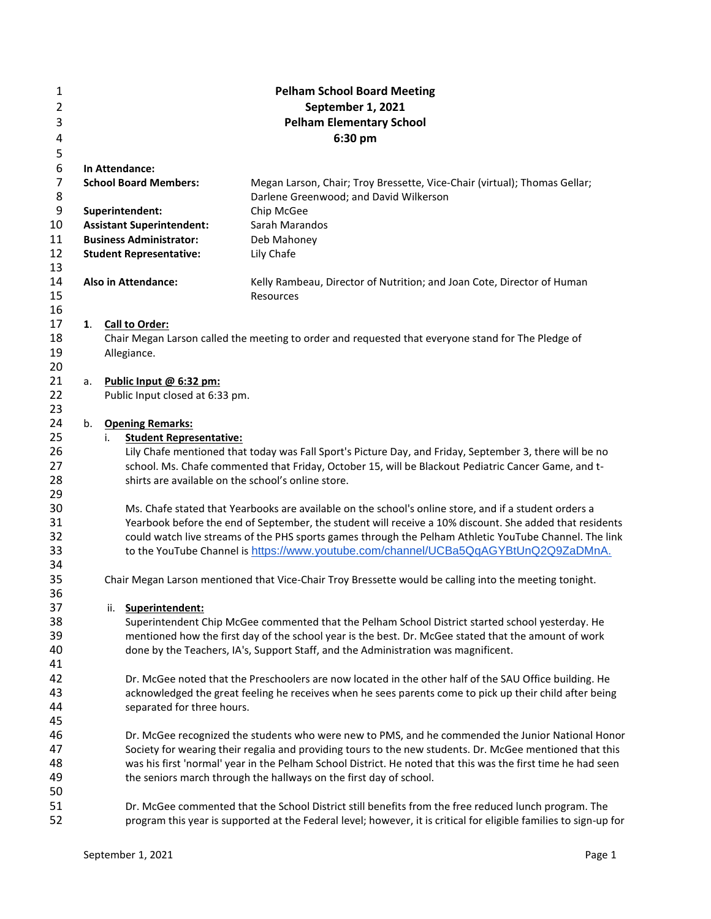| 1              | <b>Pelham School Board Meeting</b> |                                                    |                                                                                                                                                                                                               |  |  |  |  |  |  |  |
|----------------|------------------------------------|----------------------------------------------------|---------------------------------------------------------------------------------------------------------------------------------------------------------------------------------------------------------------|--|--|--|--|--|--|--|
| $\overline{2}$ | September 1, 2021                  |                                                    |                                                                                                                                                                                                               |  |  |  |  |  |  |  |
| 3              | <b>Pelham Elementary School</b>    |                                                    |                                                                                                                                                                                                               |  |  |  |  |  |  |  |
| 4              | 6:30 pm                            |                                                    |                                                                                                                                                                                                               |  |  |  |  |  |  |  |
| 5              |                                    |                                                    |                                                                                                                                                                                                               |  |  |  |  |  |  |  |
| 6              |                                    | In Attendance:                                     |                                                                                                                                                                                                               |  |  |  |  |  |  |  |
| $\overline{7}$ |                                    | <b>School Board Members:</b>                       | Megan Larson, Chair; Troy Bressette, Vice-Chair (virtual); Thomas Gellar;                                                                                                                                     |  |  |  |  |  |  |  |
| 8              |                                    |                                                    | Darlene Greenwood; and David Wilkerson                                                                                                                                                                        |  |  |  |  |  |  |  |
| 9              |                                    | Superintendent:                                    | Chip McGee                                                                                                                                                                                                    |  |  |  |  |  |  |  |
| 10             |                                    | <b>Assistant Superintendent:</b>                   | Sarah Marandos                                                                                                                                                                                                |  |  |  |  |  |  |  |
| 11             |                                    | <b>Business Administrator:</b>                     | Deb Mahoney                                                                                                                                                                                                   |  |  |  |  |  |  |  |
| 12             |                                    | <b>Student Representative:</b>                     | Lily Chafe                                                                                                                                                                                                    |  |  |  |  |  |  |  |
| 13             |                                    |                                                    |                                                                                                                                                                                                               |  |  |  |  |  |  |  |
| 14<br>15       |                                    | <b>Also in Attendance:</b>                         | Kelly Rambeau, Director of Nutrition; and Joan Cote, Director of Human<br>Resources                                                                                                                           |  |  |  |  |  |  |  |
| 16<br>17       |                                    |                                                    |                                                                                                                                                                                                               |  |  |  |  |  |  |  |
| 18             |                                    | 1. Call to Order:                                  | Chair Megan Larson called the meeting to order and requested that everyone stand for The Pledge of                                                                                                            |  |  |  |  |  |  |  |
| 19             |                                    | Allegiance.                                        |                                                                                                                                                                                                               |  |  |  |  |  |  |  |
| 20             |                                    |                                                    |                                                                                                                                                                                                               |  |  |  |  |  |  |  |
| 21             | a.                                 | Public Input @ 6:32 pm:                            |                                                                                                                                                                                                               |  |  |  |  |  |  |  |
| 22             |                                    | Public Input closed at 6:33 pm.                    |                                                                                                                                                                                                               |  |  |  |  |  |  |  |
| 23             |                                    |                                                    |                                                                                                                                                                                                               |  |  |  |  |  |  |  |
| 24             | b.                                 | <b>Opening Remarks:</b>                            |                                                                                                                                                                                                               |  |  |  |  |  |  |  |
| 25             |                                    | <b>Student Representative:</b><br>i.               |                                                                                                                                                                                                               |  |  |  |  |  |  |  |
| 26             |                                    |                                                    | Lily Chafe mentioned that today was Fall Sport's Picture Day, and Friday, September 3, there will be no                                                                                                       |  |  |  |  |  |  |  |
| 27             |                                    |                                                    | school. Ms. Chafe commented that Friday, October 15, will be Blackout Pediatric Cancer Game, and t-                                                                                                           |  |  |  |  |  |  |  |
| 28             |                                    | shirts are available on the school's online store. |                                                                                                                                                                                                               |  |  |  |  |  |  |  |
| 29             |                                    |                                                    |                                                                                                                                                                                                               |  |  |  |  |  |  |  |
| 30             |                                    |                                                    | Ms. Chafe stated that Yearbooks are available on the school's online store, and if a student orders a                                                                                                         |  |  |  |  |  |  |  |
| 31             |                                    |                                                    | Yearbook before the end of September, the student will receive a 10% discount. She added that residents                                                                                                       |  |  |  |  |  |  |  |
| 32             |                                    |                                                    | could watch live streams of the PHS sports games through the Pelham Athletic YouTube Channel. The link                                                                                                        |  |  |  |  |  |  |  |
| 33             |                                    |                                                    | to the YouTube Channel is https://www.youtube.com/channel/UCBa5QqAGYBtUnQ2Q9ZaDMnA.                                                                                                                           |  |  |  |  |  |  |  |
| 34             |                                    |                                                    |                                                                                                                                                                                                               |  |  |  |  |  |  |  |
| 35             |                                    |                                                    | Chair Megan Larson mentioned that Vice-Chair Troy Bressette would be calling into the meeting tonight.                                                                                                        |  |  |  |  |  |  |  |
| 36             |                                    |                                                    |                                                                                                                                                                                                               |  |  |  |  |  |  |  |
| 37             |                                    | Superintendent:<br>н.                              |                                                                                                                                                                                                               |  |  |  |  |  |  |  |
| 38             |                                    |                                                    | Superintendent Chip McGee commented that the Pelham School District started school yesterday. He                                                                                                              |  |  |  |  |  |  |  |
| 39             |                                    |                                                    | mentioned how the first day of the school year is the best. Dr. McGee stated that the amount of work                                                                                                          |  |  |  |  |  |  |  |
| 40             |                                    |                                                    | done by the Teachers, IA's, Support Staff, and the Administration was magnificent.                                                                                                                            |  |  |  |  |  |  |  |
| 41             |                                    |                                                    |                                                                                                                                                                                                               |  |  |  |  |  |  |  |
| 42             |                                    |                                                    | Dr. McGee noted that the Preschoolers are now located in the other half of the SAU Office building. He                                                                                                        |  |  |  |  |  |  |  |
| 43             |                                    |                                                    | acknowledged the great feeling he receives when he sees parents come to pick up their child after being                                                                                                       |  |  |  |  |  |  |  |
| 44             |                                    | separated for three hours.                         |                                                                                                                                                                                                               |  |  |  |  |  |  |  |
| 45             |                                    |                                                    |                                                                                                                                                                                                               |  |  |  |  |  |  |  |
| 46<br>47       |                                    |                                                    | Dr. McGee recognized the students who were new to PMS, and he commended the Junior National Honor<br>Society for wearing their regalia and providing tours to the new students. Dr. McGee mentioned that this |  |  |  |  |  |  |  |
| 48             |                                    |                                                    |                                                                                                                                                                                                               |  |  |  |  |  |  |  |
| 49             |                                    |                                                    | was his first 'normal' year in the Pelham School District. He noted that this was the first time he had seen<br>the seniors march through the hallways on the first day of school.                            |  |  |  |  |  |  |  |
| 50             |                                    |                                                    |                                                                                                                                                                                                               |  |  |  |  |  |  |  |
| 51             |                                    |                                                    | Dr. McGee commented that the School District still benefits from the free reduced lunch program. The                                                                                                          |  |  |  |  |  |  |  |
| 52             |                                    |                                                    | program this year is supported at the Federal level; however, it is critical for eligible families to sign-up for                                                                                             |  |  |  |  |  |  |  |
|                |                                    |                                                    |                                                                                                                                                                                                               |  |  |  |  |  |  |  |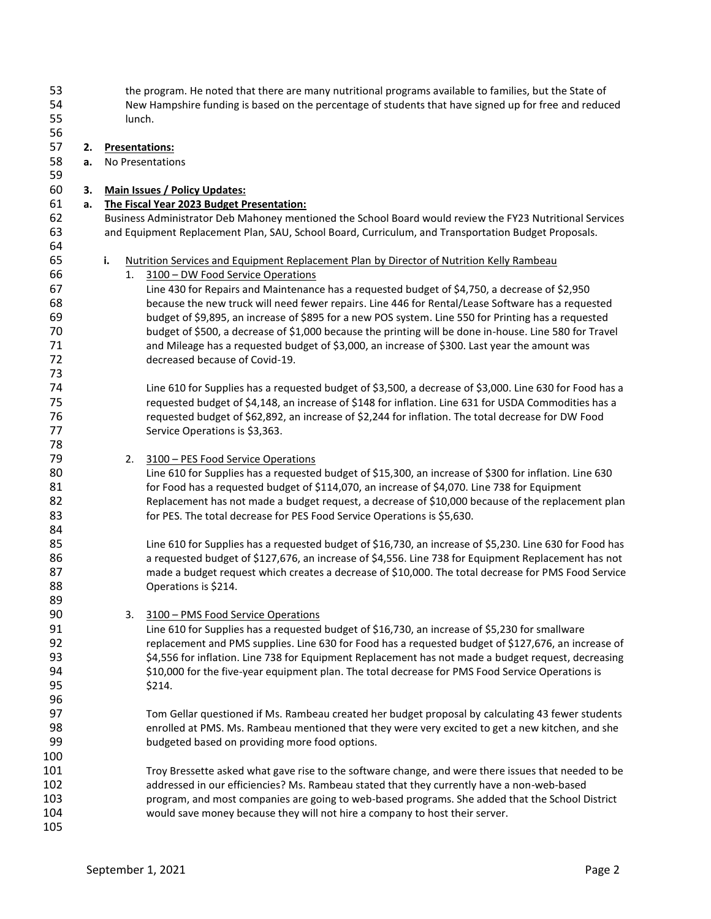the program. He noted that there are many nutritional programs available to families, but the State of New Hampshire funding is based on the percentage of students that have signed up for free and reduced lunch. 

**2. Presentations:**

- **a.** No Presentations
- **3. Main Issues / Policy Updates:**
- **a. The Fiscal Year 2023 Budget Presentation:**

 Business Administrator Deb Mahoney mentioned the School Board would review the FY23 Nutritional Services and Equipment Replacement Plan, SAU, School Board, Curriculum, and Transportation Budget Proposals.

- **i.** Nutrition Services and Equipment Replacement Plan by Director of Nutrition Kelly Rambeau
- 1. 3100 DW Food Service Operations

 Line 430 for Repairs and Maintenance has a requested budget of \$4,750, a decrease of \$2,950 because the new truck will need fewer repairs. Line 446 for Rental/Lease Software has a requested budget of \$9,895, an increase of \$895 for a new POS system. Line 550 for Printing has a requested budget of \$500, a decrease of \$1,000 because the printing will be done in-house. Line 580 for Travel and Mileage has a requested budget of \$3,000, an increase of \$300. Last year the amount was decreased because of Covid-19.

 Line 610 for Supplies has a requested budget of \$3,500, a decrease of \$3,000. Line 630 for Food has a requested budget of \$4,148, an increase of \$148 for inflation. Line 631 for USDA Commodities has a requested budget of \$62,892, an increase of \$2,244 for inflation. The total decrease for DW Food 77 Service Operations is \$3,363.

2. 3100 – PES Food Service Operations

 Line 610 for Supplies has a requested budget of \$15,300, an increase of \$300 for inflation. Line 630 81 for Food has a requested budget of \$114,070, an increase of \$4,070. Line 738 for Equipment Replacement has not made a budget request, a decrease of \$10,000 because of the replacement plan 83 for PES. The total decrease for PES Food Service Operations is \$5,630.

 Line 610 for Supplies has a requested budget of \$16,730, an increase of \$5,230. Line 630 for Food has a requested budget of \$127,676, an increase of \$4,556. Line 738 for Equipment Replacement has not 87 made a budget request which creates a decrease of \$10,000. The total decrease for PMS Food Service Operations is \$214.

3. 3100 – PMS Food Service Operations

 Line 610 for Supplies has a requested budget of \$16,730, an increase of \$5,230 for smallware replacement and PMS supplies. Line 630 for Food has a requested budget of \$127,676, an increase of \$4,556 for inflation. Line 738 for Equipment Replacement has not made a budget request, decreasing \$10,000 for the five-year equipment plan. The total decrease for PMS Food Service Operations is 95 \$214.

- 97 Tom Gellar questioned if Ms. Rambeau created her budget proposal by calculating 43 fewer students enrolled at PMS. Ms. Rambeau mentioned that they were very excited to get a new kitchen, and she budgeted based on providing more food options.
- Troy Bressette asked what gave rise to the software change, and were there issues that needed to be addressed in our efficiencies? Ms. Rambeau stated that they currently have a non-web-based program, and most companies are going to web-based programs. She added that the School District would save money because they will not hire a company to host their server.
-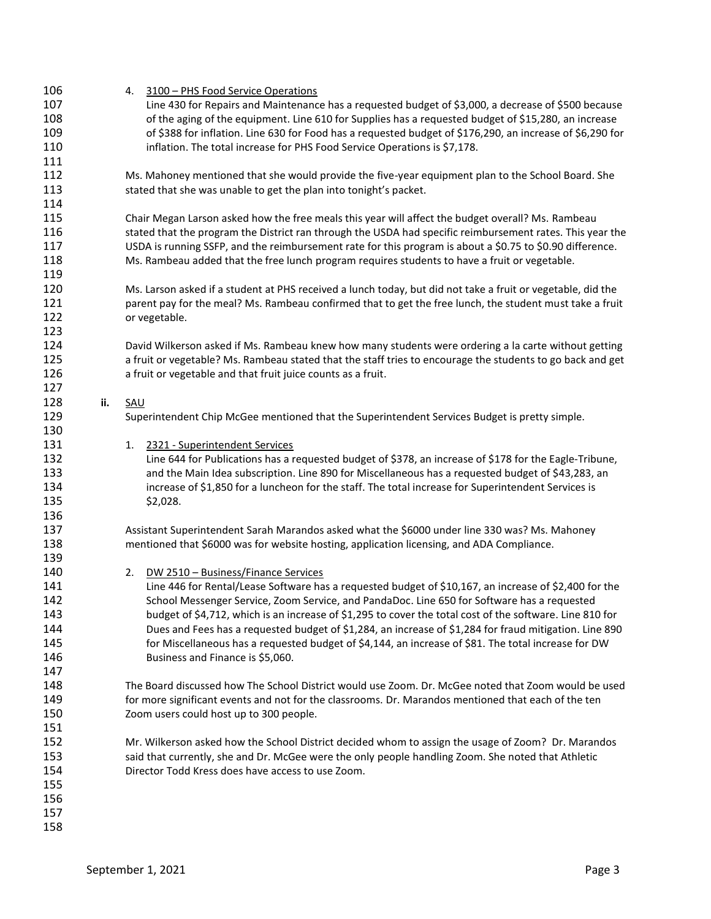| 106 |     | 4. 3100 - PHS Food Service Operations                                                                       |
|-----|-----|-------------------------------------------------------------------------------------------------------------|
| 107 |     | Line 430 for Repairs and Maintenance has a requested budget of \$3,000, a decrease of \$500 because         |
| 108 |     | of the aging of the equipment. Line 610 for Supplies has a requested budget of \$15,280, an increase        |
| 109 |     | of \$388 for inflation. Line 630 for Food has a requested budget of \$176,290, an increase of \$6,290 for   |
| 110 |     | inflation. The total increase for PHS Food Service Operations is \$7,178.                                   |
| 111 |     |                                                                                                             |
| 112 |     | Ms. Mahoney mentioned that she would provide the five-year equipment plan to the School Board. She          |
| 113 |     | stated that she was unable to get the plan into tonight's packet.                                           |
| 114 |     |                                                                                                             |
| 115 |     | Chair Megan Larson asked how the free meals this year will affect the budget overall? Ms. Rambeau           |
| 116 |     |                                                                                                             |
| 117 |     | stated that the program the District ran through the USDA had specific reimbursement rates. This year the   |
|     |     | USDA is running SSFP, and the reimbursement rate for this program is about a \$0.75 to \$0.90 difference.   |
| 118 |     | Ms. Rambeau added that the free lunch program requires students to have a fruit or vegetable.               |
| 119 |     |                                                                                                             |
| 120 |     | Ms. Larson asked if a student at PHS received a lunch today, but did not take a fruit or vegetable, did the |
| 121 |     | parent pay for the meal? Ms. Rambeau confirmed that to get the free lunch, the student must take a fruit    |
| 122 |     | or vegetable.                                                                                               |
| 123 |     |                                                                                                             |
| 124 |     | David Wilkerson asked if Ms. Rambeau knew how many students were ordering a la carte without getting        |
| 125 |     | a fruit or vegetable? Ms. Rambeau stated that the staff tries to encourage the students to go back and get  |
| 126 |     | a fruit or vegetable and that fruit juice counts as a fruit.                                                |
| 127 |     |                                                                                                             |
| 128 | ii. | <b>SAU</b>                                                                                                  |
| 129 |     | Superintendent Chip McGee mentioned that the Superintendent Services Budget is pretty simple.               |
| 130 |     |                                                                                                             |
| 131 |     | 2321 - Superintendent Services<br>1.                                                                        |
| 132 |     | Line 644 for Publications has a requested budget of \$378, an increase of \$178 for the Eagle-Tribune,      |
| 133 |     |                                                                                                             |
|     |     | and the Main Idea subscription. Line 890 for Miscellaneous has a requested budget of \$43,283, an           |
| 134 |     | increase of \$1,850 for a luncheon for the staff. The total increase for Superintendent Services is         |
| 135 |     | \$2,028.                                                                                                    |
| 136 |     |                                                                                                             |
| 137 |     | Assistant Superintendent Sarah Marandos asked what the \$6000 under line 330 was? Ms. Mahoney               |
| 138 |     | mentioned that \$6000 was for website hosting, application licensing, and ADA Compliance.                   |
| 139 |     |                                                                                                             |
| 140 |     | DW 2510 - Business/Finance Services<br>2.                                                                   |
| 141 |     | Line 446 for Rental/Lease Software has a requested budget of \$10,167, an increase of \$2,400 for the       |
| 142 |     | School Messenger Service, Zoom Service, and PandaDoc. Line 650 for Software has a requested                 |
| 143 |     | budget of \$4,712, which is an increase of \$1,295 to cover the total cost of the software. Line 810 for    |
| 144 |     | Dues and Fees has a requested budget of \$1,284, an increase of \$1,284 for fraud mitigation. Line 890      |
| 145 |     | for Miscellaneous has a requested budget of \$4,144, an increase of \$81. The total increase for DW         |
| 146 |     | Business and Finance is \$5,060.                                                                            |
| 147 |     |                                                                                                             |
| 148 |     | The Board discussed how The School District would use Zoom. Dr. McGee noted that Zoom would be used         |
| 149 |     | for more significant events and not for the classrooms. Dr. Marandos mentioned that each of the ten         |
| 150 |     | Zoom users could host up to 300 people.                                                                     |
| 151 |     |                                                                                                             |
| 152 |     | Mr. Wilkerson asked how the School District decided whom to assign the usage of Zoom? Dr. Marandos          |
| 153 |     | said that currently, she and Dr. McGee were the only people handling Zoom. She noted that Athletic          |
| 154 |     | Director Todd Kress does have access to use Zoom.                                                           |
|     |     |                                                                                                             |
| 155 |     |                                                                                                             |
| 156 |     |                                                                                                             |
| 157 |     |                                                                                                             |
| 158 |     |                                                                                                             |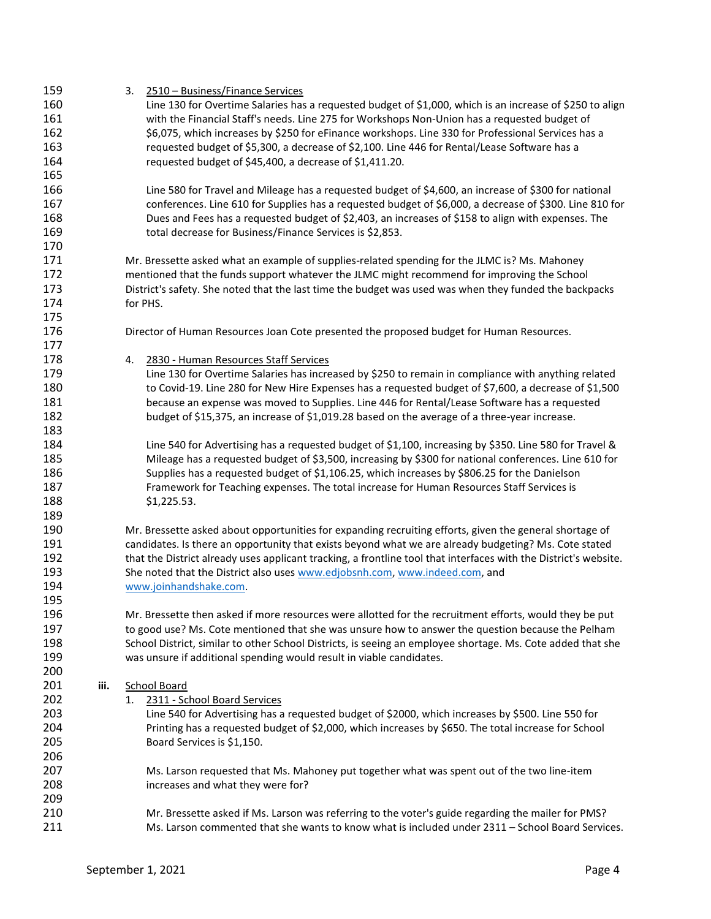| 159 |      | 3. 2510 - Business/Finance Services                                                                              |  |  |  |  |  |  |
|-----|------|------------------------------------------------------------------------------------------------------------------|--|--|--|--|--|--|
| 160 |      | Line 130 for Overtime Salaries has a requested budget of \$1,000, which is an increase of \$250 to align         |  |  |  |  |  |  |
| 161 |      | with the Financial Staff's needs. Line 275 for Workshops Non-Union has a requested budget of                     |  |  |  |  |  |  |
| 162 |      | \$6,075, which increases by \$250 for eFinance workshops. Line 330 for Professional Services has a               |  |  |  |  |  |  |
| 163 |      | requested budget of \$5,300, a decrease of \$2,100. Line 446 for Rental/Lease Software has a                     |  |  |  |  |  |  |
| 164 |      | requested budget of \$45,400, a decrease of \$1,411.20.                                                          |  |  |  |  |  |  |
|     |      |                                                                                                                  |  |  |  |  |  |  |
| 165 |      |                                                                                                                  |  |  |  |  |  |  |
| 166 |      | Line 580 for Travel and Mileage has a requested budget of \$4,600, an increase of \$300 for national             |  |  |  |  |  |  |
| 167 |      | conferences. Line 610 for Supplies has a requested budget of \$6,000, a decrease of \$300. Line 810 for          |  |  |  |  |  |  |
| 168 |      | Dues and Fees has a requested budget of \$2,403, an increases of \$158 to align with expenses. The               |  |  |  |  |  |  |
| 169 |      | total decrease for Business/Finance Services is \$2,853.                                                         |  |  |  |  |  |  |
| 170 |      |                                                                                                                  |  |  |  |  |  |  |
| 171 |      | Mr. Bressette asked what an example of supplies-related spending for the JLMC is? Ms. Mahoney                    |  |  |  |  |  |  |
| 172 |      | mentioned that the funds support whatever the JLMC might recommend for improving the School                      |  |  |  |  |  |  |
| 173 |      | District's safety. She noted that the last time the budget was used was when they funded the backpacks           |  |  |  |  |  |  |
| 174 |      | for PHS.                                                                                                         |  |  |  |  |  |  |
| 175 |      |                                                                                                                  |  |  |  |  |  |  |
| 176 |      | Director of Human Resources Joan Cote presented the proposed budget for Human Resources.                         |  |  |  |  |  |  |
| 177 |      |                                                                                                                  |  |  |  |  |  |  |
| 178 |      | 4. 2830 - Human Resources Staff Services                                                                         |  |  |  |  |  |  |
| 179 |      | Line 130 for Overtime Salaries has increased by \$250 to remain in compliance with anything related              |  |  |  |  |  |  |
| 180 |      | to Covid-19. Line 280 for New Hire Expenses has a requested budget of \$7,600, a decrease of \$1,500             |  |  |  |  |  |  |
| 181 |      |                                                                                                                  |  |  |  |  |  |  |
|     |      | because an expense was moved to Supplies. Line 446 for Rental/Lease Software has a requested                     |  |  |  |  |  |  |
| 182 |      | budget of \$15,375, an increase of \$1,019.28 based on the average of a three-year increase.                     |  |  |  |  |  |  |
| 183 |      |                                                                                                                  |  |  |  |  |  |  |
| 184 |      | Line 540 for Advertising has a requested budget of \$1,100, increasing by \$350. Line 580 for Travel &           |  |  |  |  |  |  |
| 185 |      | Mileage has a requested budget of \$3,500, increasing by \$300 for national conferences. Line 610 for            |  |  |  |  |  |  |
| 186 |      | Supplies has a requested budget of \$1,106.25, which increases by \$806.25 for the Danielson                     |  |  |  |  |  |  |
| 187 |      | Framework for Teaching expenses. The total increase for Human Resources Staff Services is                        |  |  |  |  |  |  |
| 188 |      | \$1,225.53.                                                                                                      |  |  |  |  |  |  |
| 189 |      |                                                                                                                  |  |  |  |  |  |  |
| 190 |      | Mr. Bressette asked about opportunities for expanding recruiting efforts, given the general shortage of          |  |  |  |  |  |  |
| 191 |      | candidates. Is there an opportunity that exists beyond what we are already budgeting? Ms. Cote stated            |  |  |  |  |  |  |
| 192 |      | that the District already uses applicant tracking, a frontline tool that interfaces with the District's website. |  |  |  |  |  |  |
| 193 |      | She noted that the District also uses www.edjobsnh.com, www.indeed.com, and                                      |  |  |  |  |  |  |
| 194 |      | www.joinhandshake.com.                                                                                           |  |  |  |  |  |  |
| 195 |      |                                                                                                                  |  |  |  |  |  |  |
| 196 |      | Mr. Bressette then asked if more resources were allotted for the recruitment efforts, would they be put          |  |  |  |  |  |  |
| 197 |      | to good use? Ms. Cote mentioned that she was unsure how to answer the question because the Pelham                |  |  |  |  |  |  |
| 198 |      | School District, similar to other School Districts, is seeing an employee shortage. Ms. Cote added that she      |  |  |  |  |  |  |
|     |      |                                                                                                                  |  |  |  |  |  |  |
| 199 |      | was unsure if additional spending would result in viable candidates.                                             |  |  |  |  |  |  |
| 200 |      |                                                                                                                  |  |  |  |  |  |  |
| 201 | iii. | <b>School Board</b>                                                                                              |  |  |  |  |  |  |
| 202 |      | 1. 2311 - School Board Services                                                                                  |  |  |  |  |  |  |
| 203 |      | Line 540 for Advertising has a requested budget of \$2000, which increases by \$500. Line 550 for                |  |  |  |  |  |  |
| 204 |      | Printing has a requested budget of \$2,000, which increases by \$650. The total increase for School              |  |  |  |  |  |  |
| 205 |      | Board Services is \$1,150.                                                                                       |  |  |  |  |  |  |
| 206 |      |                                                                                                                  |  |  |  |  |  |  |
| 207 |      | Ms. Larson requested that Ms. Mahoney put together what was spent out of the two line-item                       |  |  |  |  |  |  |
| 208 |      | increases and what they were for?                                                                                |  |  |  |  |  |  |
| 209 |      |                                                                                                                  |  |  |  |  |  |  |
| 210 |      | Mr. Bressette asked if Ms. Larson was referring to the voter's guide regarding the mailer for PMS?               |  |  |  |  |  |  |
| 211 |      | Ms. Larson commented that she wants to know what is included under 2311 - School Board Services.                 |  |  |  |  |  |  |
|     |      |                                                                                                                  |  |  |  |  |  |  |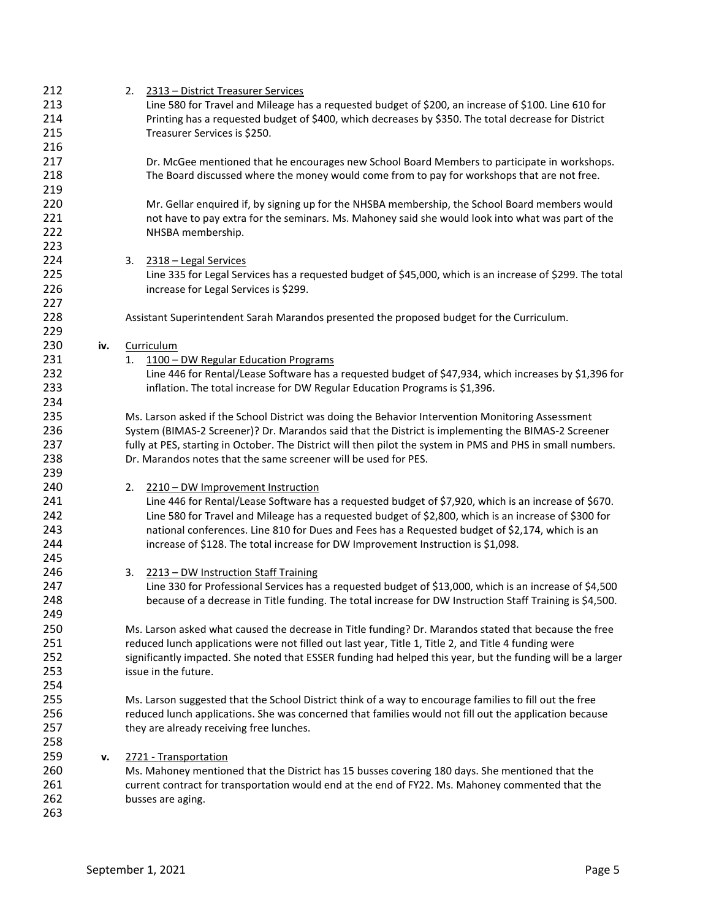| 212 |     | 2. 2313 - District Treasurer Services                                                                       |
|-----|-----|-------------------------------------------------------------------------------------------------------------|
| 213 |     | Line 580 for Travel and Mileage has a requested budget of \$200, an increase of \$100. Line 610 for         |
| 214 |     | Printing has a requested budget of \$400, which decreases by \$350. The total decrease for District         |
| 215 |     | Treasurer Services is \$250.                                                                                |
| 216 |     |                                                                                                             |
| 217 |     | Dr. McGee mentioned that he encourages new School Board Members to participate in workshops.                |
| 218 |     |                                                                                                             |
|     |     | The Board discussed where the money would come from to pay for workshops that are not free.                 |
| 219 |     |                                                                                                             |
| 220 |     | Mr. Gellar enquired if, by signing up for the NHSBA membership, the School Board members would              |
| 221 |     | not have to pay extra for the seminars. Ms. Mahoney said she would look into what was part of the           |
| 222 |     | NHSBA membership.                                                                                           |
| 223 |     |                                                                                                             |
| 224 |     | 3. 2318 - Legal Services                                                                                    |
| 225 |     | Line 335 for Legal Services has a requested budget of \$45,000, which is an increase of \$299. The total    |
| 226 |     | increase for Legal Services is \$299.                                                                       |
| 227 |     |                                                                                                             |
| 228 |     | Assistant Superintendent Sarah Marandos presented the proposed budget for the Curriculum.                   |
| 229 |     |                                                                                                             |
| 230 | iv. | Curriculum                                                                                                  |
| 231 |     | 1.<br>1100 - DW Regular Education Programs                                                                  |
|     |     |                                                                                                             |
| 232 |     | Line 446 for Rental/Lease Software has a requested budget of \$47,934, which increases by \$1,396 for       |
| 233 |     | inflation. The total increase for DW Regular Education Programs is \$1,396.                                 |
| 234 |     |                                                                                                             |
| 235 |     | Ms. Larson asked if the School District was doing the Behavior Intervention Monitoring Assessment           |
| 236 |     | System (BIMAS-2 Screener)? Dr. Marandos said that the District is implementing the BIMAS-2 Screener         |
| 237 |     | fully at PES, starting in October. The District will then pilot the system in PMS and PHS in small numbers. |
| 238 |     | Dr. Marandos notes that the same screener will be used for PES.                                             |
| 239 |     |                                                                                                             |
| 240 |     | 2210 - DW Improvement Instruction<br>2.                                                                     |
| 241 |     | Line 446 for Rental/Lease Software has a requested budget of \$7,920, which is an increase of \$670.        |
| 242 |     | Line 580 for Travel and Mileage has a requested budget of \$2,800, which is an increase of \$300 for        |
| 243 |     | national conferences. Line 810 for Dues and Fees has a Requested budget of \$2,174, which is an             |
| 244 |     | increase of \$128. The total increase for DW Improvement Instruction is \$1,098.                            |
| 245 |     |                                                                                                             |
|     |     |                                                                                                             |
| 246 |     | 2213 - DW Instruction Staff Training<br>3.                                                                  |
| 247 |     | Line 330 for Professional Services has a requested budget of \$13,000, which is an increase of \$4,500      |
| 248 |     | because of a decrease in Title funding. The total increase for DW Instruction Staff Training is \$4,500.    |
| 249 |     |                                                                                                             |
| 250 |     | Ms. Larson asked what caused the decrease in Title funding? Dr. Marandos stated that because the free       |
| 251 |     | reduced lunch applications were not filled out last year, Title 1, Title 2, and Title 4 funding were        |
| 252 |     | significantly impacted. She noted that ESSER funding had helped this year, but the funding will be a larger |
| 253 |     | issue in the future.                                                                                        |
| 254 |     |                                                                                                             |
| 255 |     | Ms. Larson suggested that the School District think of a way to encourage families to fill out the free     |
| 256 |     | reduced lunch applications. She was concerned that families would not fill out the application because      |
| 257 |     | they are already receiving free lunches.                                                                    |
| 258 |     |                                                                                                             |
| 259 |     |                                                                                                             |
|     | v.  | 2721 - Transportation                                                                                       |
| 260 |     | Ms. Mahoney mentioned that the District has 15 busses covering 180 days. She mentioned that the             |
| 261 |     | current contract for transportation would end at the end of FY22. Ms. Mahoney commented that the            |
| 262 |     | busses are aging.                                                                                           |
| 263 |     |                                                                                                             |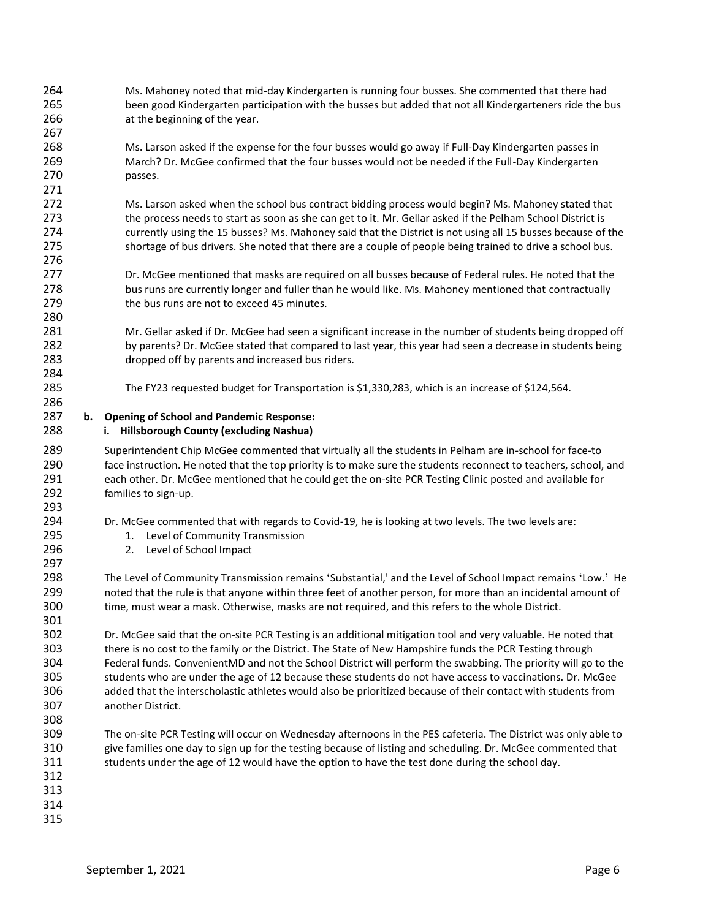- Ms. Mahoney noted that mid-day Kindergarten is running four busses. She commented that there had been good Kindergarten participation with the busses but added that not all Kindergarteners ride the bus at the beginning of the year.
- Ms. Larson asked if the expense for the four busses would go away if Full-Day Kindergarten passes in March? Dr. McGee confirmed that the four busses would not be needed if the Full-Day Kindergarten passes.

 Ms. Larson asked when the school bus contract bidding process would begin? Ms. Mahoney stated that 273 the process needs to start as soon as she can get to it. Mr. Gellar asked if the Pelham School District is currently using the 15 busses? Ms. Mahoney said that the District is not using all 15 busses because of the shortage of bus drivers. She noted that there are a couple of people being trained to drive a school bus.

277 Dr. McGee mentioned that masks are required on all busses because of Federal rules. He noted that the bus runs are currently longer and fuller than he would like. Ms. Mahoney mentioned that contractually the bus runs are not to exceed 45 minutes.

 Mr. Gellar asked if Dr. McGee had seen a significant increase in the number of students being dropped off 282 by parents? Dr. McGee stated that compared to last year, this year had seen a decrease in students being dropped off by parents and increased bus riders.

The FY23 requested budget for Transportation is \$1,330,283, which is an increase of \$124,564.

## **b. Opening of School and Pandemic Response:**

## **i. Hillsborough County (excluding Nashua)**

 Superintendent Chip McGee commented that virtually all the students in Pelham are in-school for face-to face instruction. He noted that the top priority is to make sure the students reconnect to teachers, school, and each other. Dr. McGee mentioned that he could get the on-site PCR Testing Clinic posted and available for families to sign-up. 

Dr. McGee commented that with regards to Covid-19, he is looking at two levels. The two levels are:

- 295 1. Level of Community Transmission
- 2. Level of School Impact

 The Level of Community Transmission remains 'Substantial,' and the Level of School Impact remains 'Low.' He noted that the rule is that anyone within three feet of another person, for more than an incidental amount of time, must wear a mask. Otherwise, masks are not required, and this refers to the whole District.

 Dr. McGee said that the on-site PCR Testing is an additional mitigation tool and very valuable. He noted that there is no cost to the family or the District. The State of New Hampshire funds the PCR Testing through Federal funds. ConvenientMD and not the School District will perform the swabbing. The priority will go to the students who are under the age of 12 because these students do not have access to vaccinations. Dr. McGee added that the interscholastic athletes would also be prioritized because of their contact with students from another District.

 The on-site PCR Testing will occur on Wednesday afternoons in the PES cafeteria. The District was only able to give families one day to sign up for the testing because of listing and scheduling. Dr. McGee commented that students under the age of 12 would have the option to have the test done during the school day.

- 
- 
-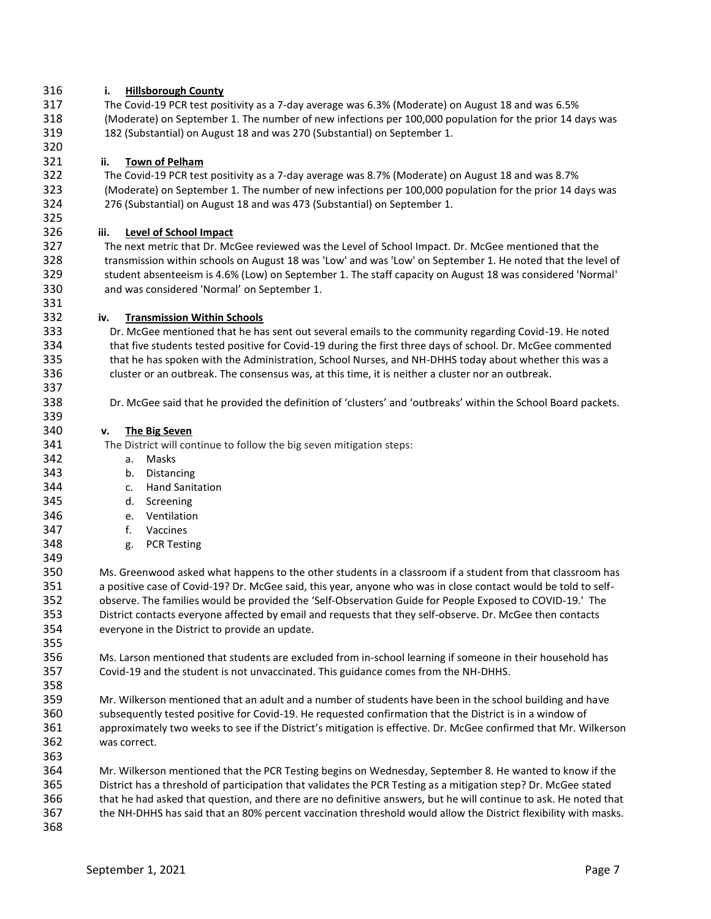# **i. Hillsborough County**

 The Covid-19 PCR test positivity as a 7-day average was 6.3% (Moderate) on August 18 and was 6.5% (Moderate) on September 1. The number of new infections per 100,000 population for the prior 14 days was 182 (Substantial) on August 18 and was 270 (Substantial) on September 1.

## **ii. Town of Pelham**

 The Covid-19 PCR test positivity as a 7-day average was 8.7% (Moderate) on August 18 and was 8.7% (Moderate) on September 1. The number of new infections per 100,000 population for the prior 14 days was 276 (Substantial) on August 18 and was 473 (Substantial) on September 1.

## **iii. Level of School Impact**

 The next metric that Dr. McGee reviewed was the Level of School Impact. Dr. McGee mentioned that the transmission within schools on August 18 was 'Low' and was 'Low' on September 1. He noted that the level of student absenteeism is 4.6% (Low) on September 1. The staff capacity on August 18 was considered 'Normal' and was considered 'Normal' on September 1.

## **iv. Transmission Within Schools**

 Dr. McGee mentioned that he has sent out several emails to the community regarding Covid-19. He noted that five students tested positive for Covid-19 during the first three days of school. Dr. McGee commented that he has spoken with the Administration, School Nurses, and NH-DHHS today about whether this was a cluster or an outbreak. The consensus was, at this time, it is neither a cluster nor an outbreak.

## Dr. McGee said that he provided the definition of 'clusters' and 'outbreaks' within the School Board packets.

## **v. The Big Seven**

The District will continue to follow the big seven mitigation steps:

- a. Masks
- b. Distancing
- c. Hand Sanitation
- d. Screening
- e. Ventilation
- f. Vaccines
- g. PCR Testing

 Ms. Greenwood asked what happens to the other students in a classroom if a student from that classroom has a positive case of Covid-19? Dr. McGee said, this year, anyone who was in close contact would be told to self- observe. The families would be provided the 'Self-Observation Guide for People Exposed to COVID-19.' The District contacts everyone affected by email and requests that they self-observe. Dr. McGee then contacts everyone in the District to provide an update.

 Ms. Larson mentioned that students are excluded from in-school learning if someone in their household has Covid-19 and the student is not unvaccinated. This guidance comes from the NH-DHHS.

 Mr. Wilkerson mentioned that an adult and a number of students have been in the school building and have subsequently tested positive for Covid-19. He requested confirmation that the District is in a window of approximately two weeks to see if the District's mitigation is effective. Dr. McGee confirmed that Mr. Wilkerson was correct.

 Mr. Wilkerson mentioned that the PCR Testing begins on Wednesday, September 8. He wanted to know if the District has a threshold of participation that validates the PCR Testing as a mitigation step? Dr. McGee stated that he had asked that question, and there are no definitive answers, but he will continue to ask. He noted that the NH-DHHS has said that an 80% percent vaccination threshold would allow the District flexibility with masks.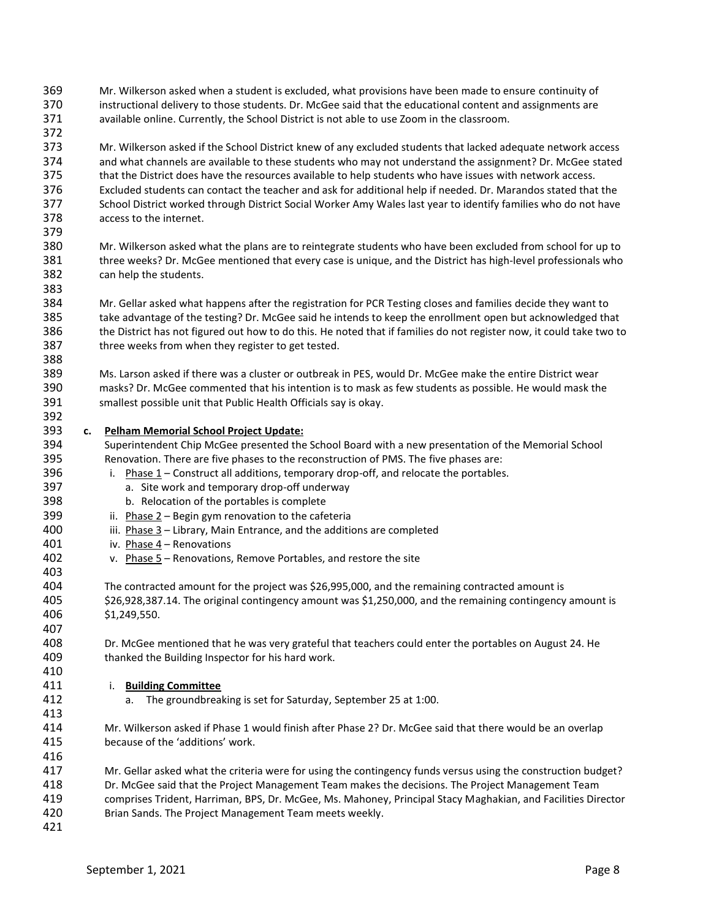- Mr. Wilkerson asked when a student is excluded, what provisions have been made to ensure continuity of instructional delivery to those students. Dr. McGee said that the educational content and assignments are available online. Currently, the School District is not able to use Zoom in the classroom.
- Mr. Wilkerson asked if the School District knew of any excluded students that lacked adequate network access and what channels are available to these students who may not understand the assignment? Dr. McGee stated that the District does have the resources available to help students who have issues with network access.
- Excluded students can contact the teacher and ask for additional help if needed. Dr. Marandos stated that the
- School District worked through District Social Worker Amy Wales last year to identify families who do not have access to the internet.
- 

- Mr. Wilkerson asked what the plans are to reintegrate students who have been excluded from school for up to three weeks? Dr. McGee mentioned that every case is unique, and the District has high-level professionals who can help the students.
- Mr. Gellar asked what happens after the registration for PCR Testing closes and families decide they want to take advantage of the testing? Dr. McGee said he intends to keep the enrollment open but acknowledged that the District has not figured out how to do this. He noted that if families do not register now, it could take two to 387 three weeks from when they register to get tested.
- Ms. Larson asked if there was a cluster or outbreak in PES, would Dr. McGee make the entire District wear masks? Dr. McGee commented that his intention is to mask as few students as possible. He would mask the smallest possible unit that Public Health Officials say is okay.
- **c. Pelham Memorial School Project Update:**
- Superintendent Chip McGee presented the School Board with a new presentation of the Memorial School Renovation. There are five phases to the reconstruction of PMS. The five phases are:
- 396 i. Phase Construct all additions, temporary drop-off, and relocate the portables.
- a. Site work and temporary drop-off underway
- b. Relocation of the portables is complete
- 399 ii. Phase 2 Begin gym renovation to the cafeteria
- 400 iii. Phase 3 Library, Main Entrance, and the additions are completed
- iv. Phase 4 Renovations
- v. Phase 5 Renovations, Remove Portables, and restore the site
- The contracted amount for the project was \$26,995,000, and the remaining contracted amount is \$26,928,387.14. The original contingency amount was \$1,250,000, and the remaining contingency amount is \$1,249,550.
- Dr. McGee mentioned that he was very grateful that teachers could enter the portables on August 24. He thanked the Building Inspector for his hard work.
- i. **Building Committee**
	-

- a. The groundbreaking is set for Saturday, September 25 at 1:00.
- Mr. Wilkerson asked if Phase 1 would finish after Phase 2? Dr. McGee said that there would be an overlap because of the 'additions' work.
- Mr. Gellar asked what the criteria were for using the contingency funds versus using the construction budget? Dr. McGee said that the Project Management Team makes the decisions. The Project Management Team comprises Trident, Harriman, BPS, Dr. McGee, Ms. Mahoney, Principal Stacy Maghakian, and Facilities Director Brian Sands. The Project Management Team meets weekly.
-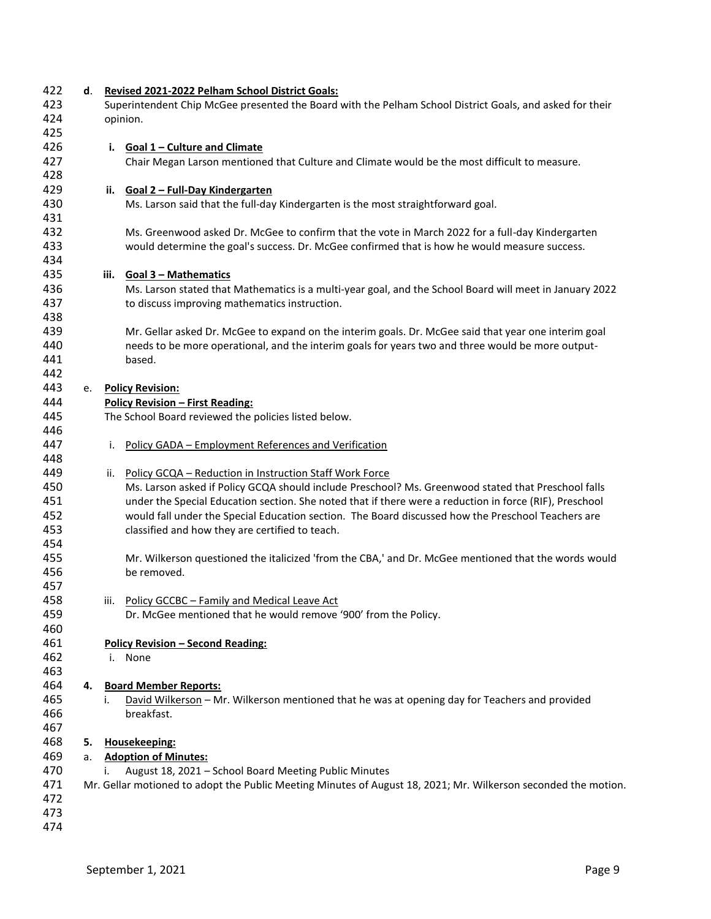| 422 | d. |      | Revised 2021-2022 Pelham School District Goals:                                                                |
|-----|----|------|----------------------------------------------------------------------------------------------------------------|
| 423 |    |      | Superintendent Chip McGee presented the Board with the Pelham School District Goals, and asked for their       |
| 424 |    |      | opinion.                                                                                                       |
| 425 |    |      |                                                                                                                |
| 426 |    |      | i. Goal 1 - Culture and Climate                                                                                |
| 427 |    |      | Chair Megan Larson mentioned that Culture and Climate would be the most difficult to measure.                  |
| 428 |    |      |                                                                                                                |
| 429 |    |      | ii. Goal 2 - Full-Day Kindergarten                                                                             |
| 430 |    |      | Ms. Larson said that the full-day Kindergarten is the most straightforward goal.                               |
| 431 |    |      |                                                                                                                |
| 432 |    |      | Ms. Greenwood asked Dr. McGee to confirm that the vote in March 2022 for a full-day Kindergarten               |
| 433 |    |      | would determine the goal's success. Dr. McGee confirmed that is how he would measure success.                  |
| 434 |    |      |                                                                                                                |
| 435 |    |      | iii. Goal 3 - Mathematics                                                                                      |
| 436 |    |      | Ms. Larson stated that Mathematics is a multi-year goal, and the School Board will meet in January 2022        |
| 437 |    |      | to discuss improving mathematics instruction.                                                                  |
| 438 |    |      |                                                                                                                |
| 439 |    |      | Mr. Gellar asked Dr. McGee to expand on the interim goals. Dr. McGee said that year one interim goal           |
| 440 |    |      | needs to be more operational, and the interim goals for years two and three would be more output-              |
| 441 |    |      | based.                                                                                                         |
| 442 |    |      |                                                                                                                |
| 443 | e. |      | <b>Policy Revision:</b>                                                                                        |
| 444 |    |      | <b>Policy Revision - First Reading:</b>                                                                        |
| 445 |    |      | The School Board reviewed the policies listed below.                                                           |
| 446 |    |      |                                                                                                                |
| 447 |    | i.   | Policy GADA - Employment References and Verification                                                           |
| 448 |    |      |                                                                                                                |
| 449 |    |      | ii. Policy GCQA - Reduction in Instruction Staff Work Force                                                    |
| 450 |    |      | Ms. Larson asked if Policy GCQA should include Preschool? Ms. Greenwood stated that Preschool falls            |
| 451 |    |      | under the Special Education section. She noted that if there were a reduction in force (RIF), Preschool        |
| 452 |    |      | would fall under the Special Education section. The Board discussed how the Preschool Teachers are             |
| 453 |    |      | classified and how they are certified to teach.                                                                |
| 454 |    |      |                                                                                                                |
| 455 |    |      | Mr. Wilkerson questioned the italicized 'from the CBA,' and Dr. McGee mentioned that the words would           |
| 456 |    |      | be removed.                                                                                                    |
| 457 |    |      |                                                                                                                |
| 458 |    | iii. | Policy GCCBC - Family and Medical Leave Act                                                                    |
| 459 |    |      | Dr. McGee mentioned that he would remove '900' from the Policy.                                                |
| 460 |    |      |                                                                                                                |
| 461 |    |      | <b>Policy Revision - Second Reading:</b>                                                                       |
| 462 |    |      | i. None                                                                                                        |
| 463 |    |      |                                                                                                                |
| 464 | 4. |      | <b>Board Member Reports:</b>                                                                                   |
| 465 |    | i.   | David Wilkerson - Mr. Wilkerson mentioned that he was at opening day for Teachers and provided                 |
| 466 |    |      | breakfast.                                                                                                     |
| 467 |    |      |                                                                                                                |
| 468 | 5. |      | Housekeeping:                                                                                                  |
| 469 | a. |      | <b>Adoption of Minutes:</b>                                                                                    |
| 470 |    |      | August 18, 2021 - School Board Meeting Public Minutes                                                          |
| 471 |    |      | Mr. Gellar motioned to adopt the Public Meeting Minutes of August 18, 2021; Mr. Wilkerson seconded the motion. |
| 472 |    |      |                                                                                                                |
| 473 |    |      |                                                                                                                |
| 474 |    |      |                                                                                                                |
|     |    |      |                                                                                                                |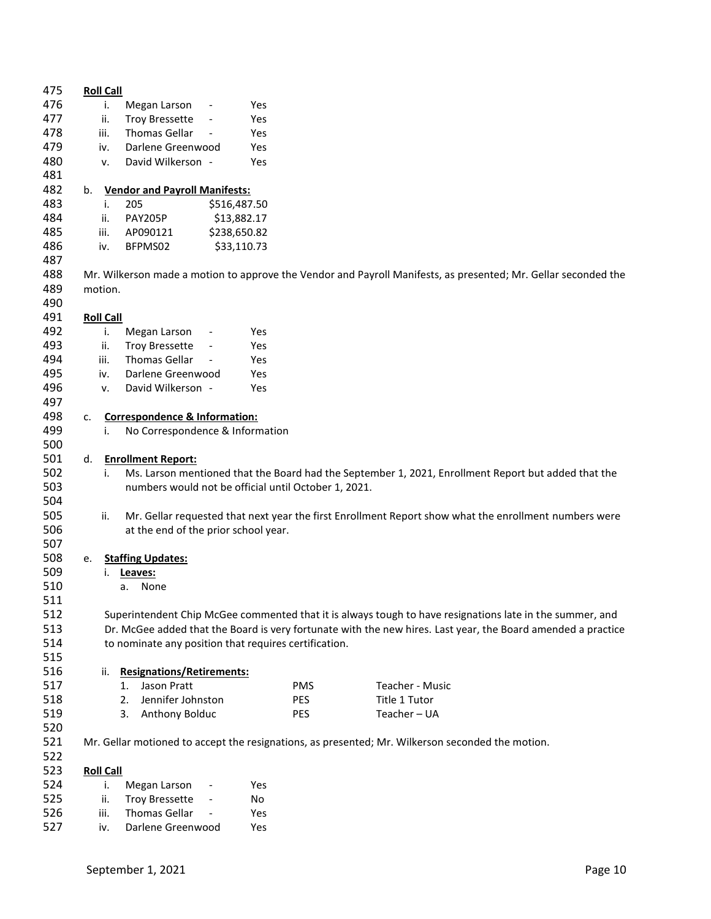| 475 | <b>Roll Call</b> |                                                       |                          |     |            |                                                                                                  |                                                                                                                |
|-----|------------------|-------------------------------------------------------|--------------------------|-----|------------|--------------------------------------------------------------------------------------------------|----------------------------------------------------------------------------------------------------------------|
| 476 | i.               | Megan Larson                                          |                          | Yes |            |                                                                                                  |                                                                                                                |
| 477 | ii.              | <b>Troy Bressette</b>                                 | $\overline{\phantom{a}}$ | Yes |            |                                                                                                  |                                                                                                                |
| 478 | iii.             | Thomas Gellar                                         |                          | Yes |            |                                                                                                  |                                                                                                                |
| 479 | iv.              | Darlene Greenwood                                     |                          | Yes |            |                                                                                                  |                                                                                                                |
| 480 | v.               | David Wilkerson -                                     |                          | Yes |            |                                                                                                  |                                                                                                                |
| 481 |                  |                                                       |                          |     |            |                                                                                                  |                                                                                                                |
| 482 | b.               | <b>Vendor and Payroll Manifests:</b>                  |                          |     |            |                                                                                                  |                                                                                                                |
| 483 | i.               | 205                                                   | \$516,487.50             |     |            |                                                                                                  |                                                                                                                |
| 484 | ii.              | <b>PAY205P</b>                                        | \$13,882.17              |     |            |                                                                                                  |                                                                                                                |
| 485 | iii.             | AP090121                                              | \$238,650.82             |     |            |                                                                                                  |                                                                                                                |
| 486 | iv.              | BFPMS02                                               | \$33,110.73              |     |            |                                                                                                  |                                                                                                                |
| 487 |                  |                                                       |                          |     |            |                                                                                                  |                                                                                                                |
| 488 |                  |                                                       |                          |     |            |                                                                                                  | Mr. Wilkerson made a motion to approve the Vendor and Payroll Manifests, as presented; Mr. Gellar seconded the |
| 489 | motion.          |                                                       |                          |     |            |                                                                                                  |                                                                                                                |
|     |                  |                                                       |                          |     |            |                                                                                                  |                                                                                                                |
| 490 |                  |                                                       |                          |     |            |                                                                                                  |                                                                                                                |
| 491 | <b>Roll Call</b> |                                                       |                          |     |            |                                                                                                  |                                                                                                                |
| 492 | i.               | Megan Larson                                          | $\overline{\phantom{a}}$ | Yes |            |                                                                                                  |                                                                                                                |
| 493 | ii.              | <b>Troy Bressette</b>                                 |                          | Yes |            |                                                                                                  |                                                                                                                |
| 494 | iii.             | <b>Thomas Gellar</b>                                  |                          | Yes |            |                                                                                                  |                                                                                                                |
| 495 | iv.              | Darlene Greenwood                                     |                          | Yes |            |                                                                                                  |                                                                                                                |
| 496 | ٧.               | David Wilkerson -                                     |                          | Yes |            |                                                                                                  |                                                                                                                |
| 497 |                  |                                                       |                          |     |            |                                                                                                  |                                                                                                                |
| 498 | c.               | <b>Correspondence &amp; Information:</b>              |                          |     |            |                                                                                                  |                                                                                                                |
| 499 | i.               | No Correspondence & Information                       |                          |     |            |                                                                                                  |                                                                                                                |
| 500 |                  |                                                       |                          |     |            |                                                                                                  |                                                                                                                |
| 501 | d.               | <b>Enrollment Report:</b>                             |                          |     |            |                                                                                                  |                                                                                                                |
| 502 | i.               |                                                       |                          |     |            |                                                                                                  | Ms. Larson mentioned that the Board had the September 1, 2021, Enrollment Report but added that the            |
| 503 |                  | numbers would not be official until October 1, 2021.  |                          |     |            |                                                                                                  |                                                                                                                |
| 504 |                  |                                                       |                          |     |            |                                                                                                  |                                                                                                                |
| 505 | ii.              |                                                       |                          |     |            |                                                                                                  | Mr. Gellar requested that next year the first Enrollment Report show what the enrollment numbers were          |
| 506 |                  | at the end of the prior school year.                  |                          |     |            |                                                                                                  |                                                                                                                |
| 507 |                  |                                                       |                          |     |            |                                                                                                  |                                                                                                                |
| 508 | e.               | <b>Staffing Updates:</b>                              |                          |     |            |                                                                                                  |                                                                                                                |
| 509 | i.               | Leaves:                                               |                          |     |            |                                                                                                  |                                                                                                                |
| 510 |                  | None<br>a.                                            |                          |     |            |                                                                                                  |                                                                                                                |
| 511 |                  |                                                       |                          |     |            |                                                                                                  |                                                                                                                |
| 512 |                  |                                                       |                          |     |            |                                                                                                  | Superintendent Chip McGee commented that it is always tough to have resignations late in the summer, and       |
| 513 |                  |                                                       |                          |     |            |                                                                                                  | Dr. McGee added that the Board is very fortunate with the new hires. Last year, the Board amended a practice   |
| 514 |                  | to nominate any position that requires certification. |                          |     |            |                                                                                                  |                                                                                                                |
| 515 |                  |                                                       |                          |     |            |                                                                                                  |                                                                                                                |
| 516 | ii.              | <b>Resignations/Retirements:</b>                      |                          |     |            |                                                                                                  |                                                                                                                |
| 517 |                  | Jason Pratt<br>1.                                     |                          |     | <b>PMS</b> | Teacher - Music                                                                                  |                                                                                                                |
| 518 |                  | Jennifer Johnston<br>2.                               |                          |     | <b>PES</b> | Title 1 Tutor                                                                                    |                                                                                                                |
| 519 |                  |                                                       |                          |     |            |                                                                                                  |                                                                                                                |
|     |                  | 3.<br>Anthony Bolduc                                  |                          |     | <b>PES</b> | Teacher-UA                                                                                       |                                                                                                                |
| 520 |                  |                                                       |                          |     |            |                                                                                                  |                                                                                                                |
| 521 |                  |                                                       |                          |     |            | Mr. Gellar motioned to accept the resignations, as presented; Mr. Wilkerson seconded the motion. |                                                                                                                |
| 522 |                  |                                                       |                          |     |            |                                                                                                  |                                                                                                                |
| 523 | <b>Roll Call</b> |                                                       |                          |     |            |                                                                                                  |                                                                                                                |
| 524 | i.               | Megan Larson                                          |                          | Yes |            |                                                                                                  |                                                                                                                |
| 525 | ii.              | <b>Troy Bressette</b>                                 |                          | No  |            |                                                                                                  |                                                                                                                |
| 526 | iii.             | Thomas Gellar                                         |                          | Yes |            |                                                                                                  |                                                                                                                |
| 527 | iv.              | Darlene Greenwood                                     |                          | Yes |            |                                                                                                  |                                                                                                                |
|     |                  |                                                       |                          |     |            |                                                                                                  |                                                                                                                |